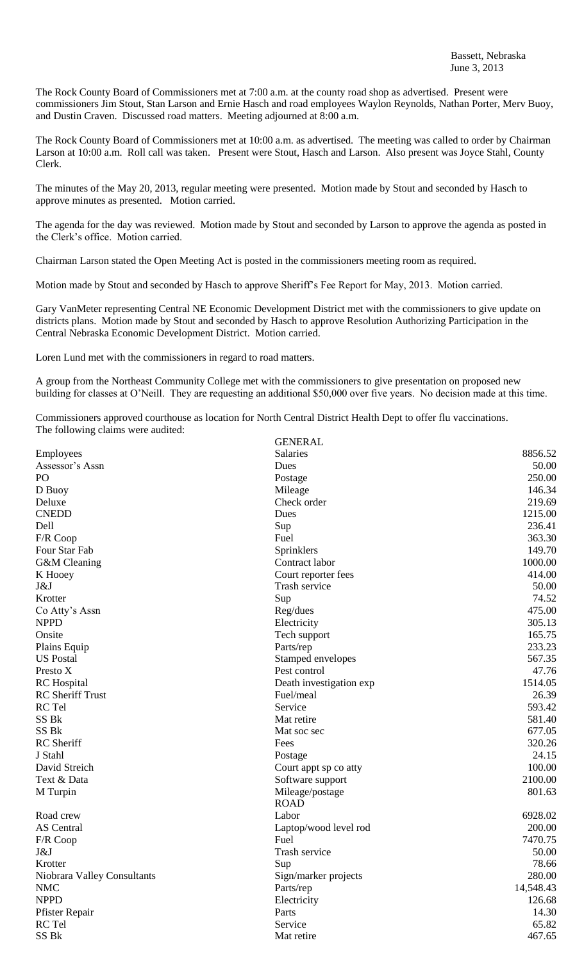The Rock County Board of Commissioners met at 7:00 a.m. at the county road shop as advertised. Present were commissioners Jim Stout, Stan Larson and Ernie Hasch and road employees Waylon Reynolds, Nathan Porter, Merv Buoy, and Dustin Craven. Discussed road matters. Meeting adjourned at 8:00 a.m.

The Rock County Board of Commissioners met at 10:00 a.m. as advertised. The meeting was called to order by Chairman Larson at 10:00 a.m. Roll call was taken. Present were Stout, Hasch and Larson. Also present was Joyce Stahl, County Clerk.

The minutes of the May 20, 2013, regular meeting were presented. Motion made by Stout and seconded by Hasch to approve minutes as presented. Motion carried.

The agenda for the day was reviewed. Motion made by Stout and seconded by Larson to approve the agenda as posted in the Clerk's office. Motion carried.

Chairman Larson stated the Open Meeting Act is posted in the commissioners meeting room as required.

Motion made by Stout and seconded by Hasch to approve Sheriff's Fee Report for May, 2013. Motion carried.

Gary VanMeter representing Central NE Economic Development District met with the commissioners to give update on districts plans. Motion made by Stout and seconded by Hasch to approve Resolution Authorizing Participation in the Central Nebraska Economic Development District. Motion carried.

Loren Lund met with the commissioners in regard to road matters.

A group from the Northeast Community College met with the commissioners to give presentation on proposed new building for classes at O'Neill. They are requesting an additional \$50,000 over five years. No decision made at this time.

Commissioners approved courthouse as location for North Central District Health Dept to offer flu vaccinations. The following claims were audited:

|                             | <b>GENERAL</b>          |           |
|-----------------------------|-------------------------|-----------|
| Employees                   | Salaries                | 8856.52   |
| Assessor's Assn             | Dues                    | 50.00     |
| PO                          | Postage                 | 250.00    |
| D Buoy                      | Mileage                 | 146.34    |
| Deluxe                      | Check order             | 219.69    |
| <b>CNEDD</b>                | Dues                    | 1215.00   |
| Dell                        | Sup                     | 236.41    |
| F/R Coop                    | Fuel                    | 363.30    |
| Four Star Fab               | Sprinklers              | 149.70    |
| G&M Cleaning                | Contract labor          | 1000.00   |
| K Hooey                     | Court reporter fees     | 414.00    |
| J&J                         | Trash service           | 50.00     |
| Krotter                     | Sup                     | 74.52     |
| Co Atty's Assn              | Reg/dues                | 475.00    |
| <b>NPPD</b>                 | Electricity             | 305.13    |
| Onsite                      | Tech support            | 165.75    |
| Plains Equip                | Parts/rep               | 233.23    |
| <b>US Postal</b>            | Stamped envelopes       | 567.35    |
| Presto X                    | Pest control            | 47.76     |
| <b>RC</b> Hospital          | Death investigation exp | 1514.05   |
| <b>RC</b> Sheriff Trust     | Fuel/meal               | 26.39     |
| RC Tel                      | Service                 | 593.42    |
| SS Bk                       | Mat retire              | 581.40    |
| SS <sub>Bk</sub>            | Mat soc sec             | 677.05    |
| RC Sheriff                  | Fees                    | 320.26    |
| J Stahl                     | Postage                 | 24.15     |
| David Streich               | Court appt sp co atty   | 100.00    |
| Text & Data                 | Software support        | 2100.00   |
| M Turpin                    | Mileage/postage         | 801.63    |
|                             | <b>ROAD</b>             |           |
| Road crew                   | Labor                   | 6928.02   |
| <b>AS</b> Central           | Laptop/wood level rod   | 200.00    |
| F/R Coop                    | Fuel                    | 7470.75   |
| J&J                         | Trash service           | 50.00     |
| Krotter                     | Sup                     | 78.66     |
| Niobrara Valley Consultants | Sign/marker projects    | 280.00    |
| <b>NMC</b>                  | Parts/rep               | 14,548.43 |
| <b>NPPD</b>                 | Electricity             | 126.68    |
| Pfister Repair              | Parts                   | 14.30     |
| RC Tel                      | Service                 | 65.82     |
| SS Bk                       | Mat retire              | 467.65    |